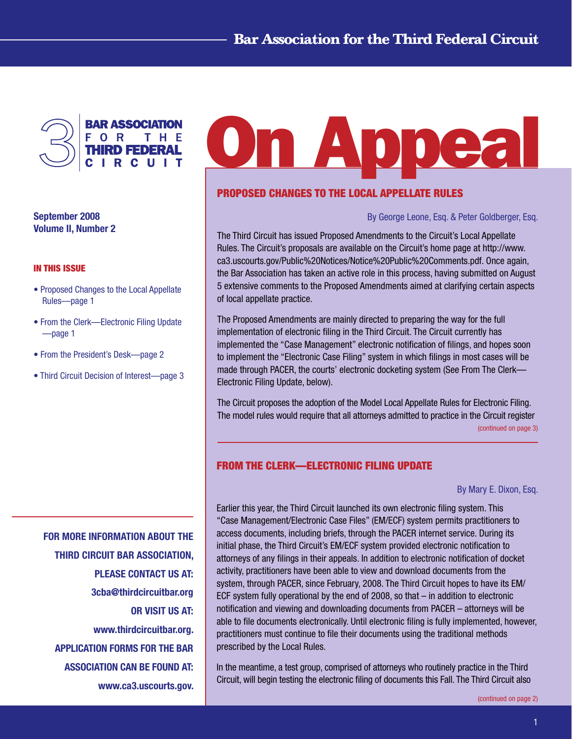

September 2008 Volume II, Number 2

#### In This Issue

- Proposed Changes to the Local Appellate Rules—page 1
- From the Clerk—Electronic Filing Update —page 1
- From the President's Desk—page 2
- Third Circuit Decision of Interest—page 3

**On Appea** 

### PROPOSED CHANGES TO THE LOCAL APPELLATE RULES

By George Leone, Esq. & Peter Goldberger, Esq.

The Third Circuit has issued Proposed Amendments to the Circuit's Local Appellate Rules. The Circuit's proposals are available on the Circuit's home page at http://www. ca3.uscourts.gov/Public%20Notices/Notice%20Public%20Comments.pdf. Once again, the Bar Association has taken an active role in this process, having submitted on August 5 extensive comments to the Proposed Amendments aimed at clarifying certain aspects of local appellate practice.

The Proposed Amendments are mainly directed to preparing the way for the full implementation of electronic filing in the Third Circuit. The Circuit currently has implemented the "Case Management" electronic notification of filings, and hopes soon to implement the "Electronic Case Filing" system in which filings in most cases will be made through PACER, the courts' electronic docketing system (See From The Clerk— Electronic Filing Update, below).

The Circuit proposes the adoption of the Model Local Appellate Rules for Electronic Filing. The model rules would require that all attorneys admitted to practice in the Circuit register [\(continued on page 3\)](#page-2-0)

## FROM THE CLERK—ELECTRONIC FILING UPDATE

#### By Mary E. Dixon, Esq.

FOR MORE INFORMATION ABOUT THE THIRD CIRCUIT BAR ASSOCIATION, PLEASE CONTACT US AT: 3cba@thirdcircuitbar.org OR VISIT US AT: www.thirdcircuitbar.org. APPLICATION FORMS FOR THE BAR ASSOCIATION CAN BE FOUND AT: www.ca3.uscourts.gov. Earlier this year, the Third Circuit launched its own electronic filing system. This "Case Management/Electronic Case Files" (EM/ECF) system permits practitioners to access documents, including briefs, through the PACER internet service. During its initial phase, the Third Circuit's EM/ECF system provided electronic notification to attorneys of any filings in their appeals. In addition to electronic notification of docket activity, practitioners have been able to view and download documents from the system, through PACER, since February, 2008. The Third Circuit hopes to have its EM/ ECF system fully operational by the end of 2008, so that – in addition to electronic notification and viewing and downloading documents from PACER – attorneys will be able to file documents electronically. Until electronic filing is fully implemented, however, practitioners must continue to file their documents using the traditional methods prescribed by the Local Rules.

In the meantime, a test group, comprised of attorneys who routinely practice in the Third Circuit, will begin testing the electronic filing of documents this Fall. The Third Circuit also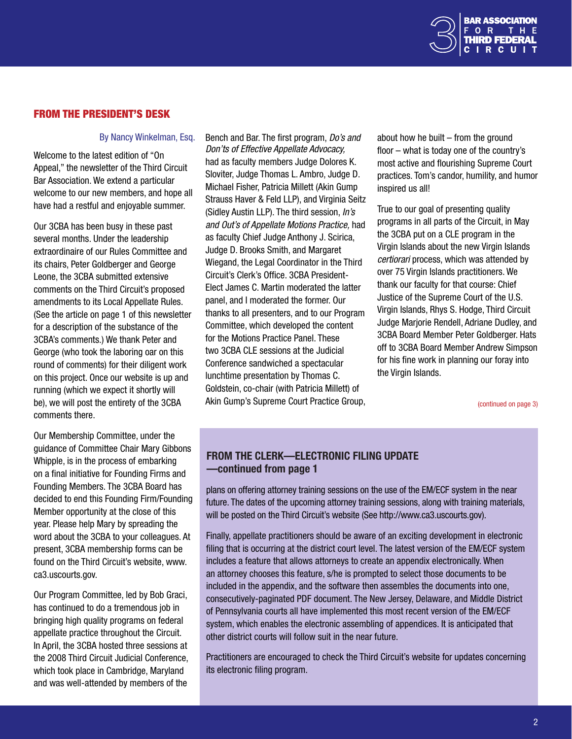

# <span id="page-1-0"></span>From The President's Desk

#### By Nancy Winkelman, Esq.

Welcome to the latest edition of "On Appeal," the newsletter of the Third Circuit Bar Association. We extend a particular welcome to our new members, and hope all have had a restful and enjoyable summer.

Our 3CBA has been busy in these past several months. Under the leadership extraordinaire of our Rules Committee and its chairs, Peter Goldberger and George Leone, the 3CBA submitted extensive comments on the Third Circuit's proposed amendments to its Local Appellate Rules. (See the article on page 1 of this newsletter for a description of the substance of the 3CBA's comments.) We thank Peter and George (who took the laboring oar on this round of comments) for their diligent work on this project. Once our website is up and running (which we expect it shortly will be), we will post the entirety of the 3CBA comments there.

Our Membership Committee, under the guidance of Committee Chair Mary Gibbons Whipple, is in the process of embarking on a final initiative for Founding Firms and Founding Members. The 3CBA Board has decided to end this Founding Firm/Founding Member opportunity at the close of this year. Please help Mary by spreading the word about the 3CBA to your colleagues. At present, 3CBA membership forms can be found on the Third Circuit's website, www. ca3.uscourts.gov.

Our Program Committee, led by Bob Graci, has continued to do a tremendous job in bringing high quality programs on federal appellate practice throughout the Circuit. In April, the 3CBA hosted three sessions at the 2008 Third Circuit Judicial Conference, which took place in Cambridge, Maryland and was well-attended by members of the

Bench and Bar. The first program, *Do's and Don'ts of Effective Appellate Advocacy,*  had as faculty members Judge Dolores K. Sloviter, Judge Thomas L. Ambro, Judge D. Michael Fisher, Patricia Millett (Akin Gump Strauss Haver & Feld LLP), and Virginia Seitz (Sidley Austin LLP). The third session, *In's and Out's of Appellate Motions Practice,* had as faculty Chief Judge Anthony J. Scirica, Judge D. Brooks Smith, and Margaret Wiegand, the Legal Coordinator in the Third Circuit's Clerk's Office. 3CBA President-Elect James C. Martin moderated the latter panel, and I moderated the former. Our thanks to all presenters, and to our Program Committee, which developed the content for the Motions Practice Panel. These two 3CBA CLE sessions at the Judicial Conference sandwiched a spectacular lunchtime presentation by Thomas C. Goldstein, co-chair (with Patricia Millett) of Akin Gump's Supreme Court Practice Group, about how he built – from the ground floor – what is today one of the country's most active and flourishing Supreme Court practices. Tom's candor, humility, and humor inspired us all!

True to our goal of presenting quality programs in all parts of the Circuit, in May the 3CBA put on a CLE program in the Virgin Islands about the new Virgin Islands *certiorari* process, which was attended by over 75 Virgin Islands practitioners. We thank our faculty for that course: Chief Justice of the Supreme Court of the U.S. Virgin Islands, Rhys S. Hodge, Third Circuit Judge Marjorie Rendell, Adriane Dudley, and 3CBA Board Member Peter Goldberger. Hats off to 3CBA Board Member Andrew Simpson for his fine work in planning our foray into the Virgin Islands.

[\(continued on page 3\)](#page-2-0)

# from the clerk—electronic filing update —continued from page 1

plans on offering attorney training sessions on the use of the EM/ECF system in the near future. The dates of the upcoming attorney training sessions, along with training materials, will be posted on the Third Circuit's website (See http://www.ca3.uscourts.gov).

Finally, appellate practitioners should be aware of an exciting development in electronic filing that is occurring at the district court level. The latest version of the EM/ECF system includes a feature that allows attorneys to create an appendix electronically. When an attorney chooses this feature, s/he is prompted to select those documents to be included in the appendix, and the software then assembles the documents into one, consecutively-paginated PDF document. The New Jersey, Delaware, and Middle District of Pennsylvania courts all have implemented this most recent version of the EM/ECF system, which enables the electronic assembling of appendices. It is anticipated that other district courts will follow suit in the near future.

Practitioners are encouraged to check the Third Circuit's website for updates concerning its electronic filing program.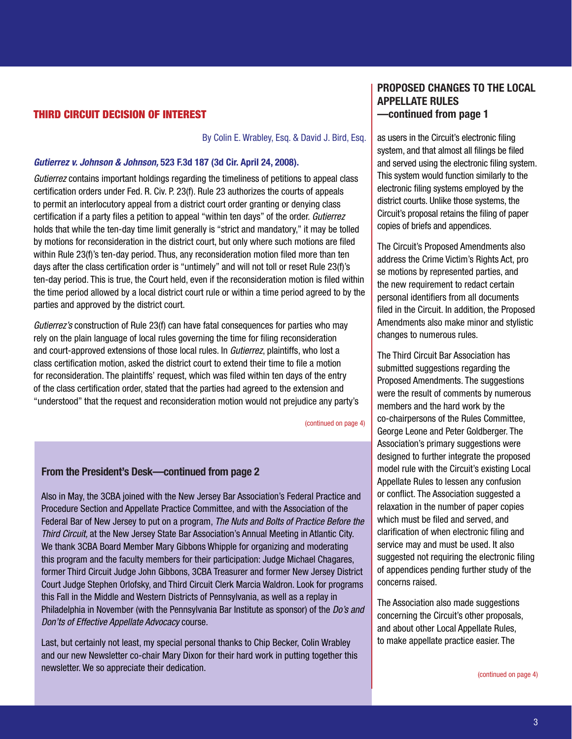### <span id="page-2-0"></span>THIRD CIRCUIT DECISION OF INTEREST

By Colin E. Wrabley, Esq. & David J. Bird, Esq.

#### *Gutierrez v. Johnson & Johnson,* 523 F.3d 187 (3d Cir. April 24, 2008).

*Gutierrez* contains important holdings regarding the timeliness of petitions to appeal class certification orders under Fed. R. Civ. P. 23(f). Rule 23 authorizes the courts of appeals to permit an interlocutory appeal from a district court order granting or denying class certification if a party files a petition to appeal "within ten days" of the order. *Gutierrez* holds that while the ten-day time limit generally is "strict and mandatory," it may be tolled by motions for reconsideration in the district court, but only where such motions are filed within Rule 23(f)'s ten-day period. Thus, any reconsideration motion filed more than ten days after the class certification order is "untimely" and will not toll or reset Rule 23(f)'s ten-day period. This is true, the Court held, even if the reconsideration motion is filed within the time period allowed by a local district court rule or within a time period agreed to by the parties and approved by the district court.

*Gutierrez's* construction of Rule 23(f) can have fatal consequences for parties who may rely on the plain language of local rules governing the time for filing reconsideration and court-approved extensions of those local rules. In *Gutierrez*, plaintiffs, who lost a class certification motion, asked the district court to extend their time to file a motion for reconsideration. The plaintiffs' request, which was filed within ten days of the entry of the class certification order, stated that the parties had agreed to the extension and "understood" that the request and reconsideration motion would not prejudice any party's

[\(continued on page 4\)](#page-3-0)

### From the President's Desk—continued from page 2

Also in May, the 3CBA joined with the New Jersey Bar Association's Federal Practice and Procedure Section and Appellate Practice Committee, and with the Association of the Federal Bar of New Jersey to put on a program, *The Nuts and Bolts of Practice Before the Third Circuit,* at the New Jersey State Bar Association's Annual Meeting in Atlantic City. We thank 3CBA Board Member Mary Gibbons Whipple for organizing and moderating this program and the faculty members for their participation: Judge Michael Chagares, former Third Circuit Judge John Gibbons, 3CBA Treasurer and former New Jersey District Court Judge Stephen Orlofsky, and Third Circuit Clerk Marcia Waldron. Look for programs this Fall in the Middle and Western Districts of Pennsylvania, as well as a replay in Philadelphia in November (with the Pennsylvania Bar Institute as sponsor) of the *Do's and Don'ts of Effective Appellate Advocacy* course.

Last, but certainly not least, my special personal thanks to Chip Becker, Colin Wrabley and our new Newsletter co-chair Mary Dixon for their hard work in putting together this newsletter. We so appreciate their dedication.

# PROPOSED CHANGES TO THE LOCAL APPELLATE RULES —continued from page 1

as users in the Circuit's electronic filing system, and that almost all filings be filed and served using the electronic filing system. This system would function similarly to the electronic filing systems employed by the district courts. Unlike those systems, the Circuit's proposal retains the filing of paper copies of briefs and appendices.

The Circuit's Proposed Amendments also address the Crime Victim's Rights Act, pro se motions by represented parties, and the new requirement to redact certain personal identifiers from all documents filed in the Circuit. In addition, the Proposed Amendments also make minor and stylistic changes to numerous rules.

The Third Circuit Bar Association has submitted suggestions regarding the Proposed Amendments. The suggestions were the result of comments by numerous members and the hard work by the co-chairpersons of the Rules Committee, George Leone and Peter Goldberger. The Association's primary suggestions were designed to further integrate the proposed model rule with the Circuit's existing Local Appellate Rules to lessen any confusion or conflict. The Association suggested a relaxation in the number of paper copies which must be filed and served, and clarification of when electronic filing and service may and must be used. It also suggested not requiring the electronic filing of appendices pending further study of the concerns raised.

The Association also made suggestions concerning the Circuit's other proposals, and about other Local Appellate Rules, to make appellate practice easier. The